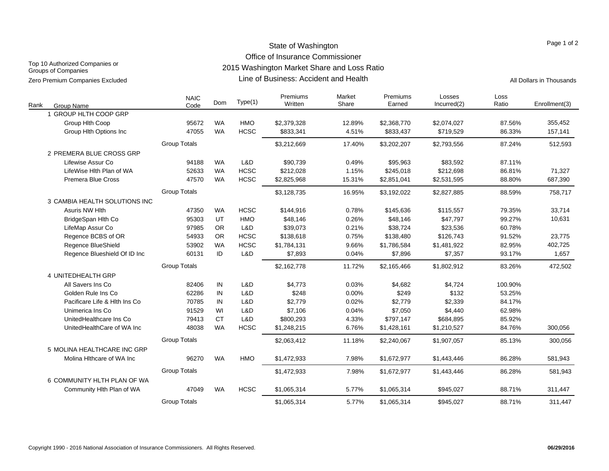## State of Washington Office of Insurance Commissioner

Top 10 Authorized Companies or Groups of Companies

2015 Washington Market Share and Loss Ratio

Line of Business: Accident and Health Zero Premium Companies Excluded **All Dollars in Thousands Line of Business: Accident and Health** All Dollars in Thousands

| Rank | <b>Group Name</b>              | <b>NAIC</b><br>Code | Dom       | Type(1)     | Premiums<br>Written | Market<br>Share | Premiums<br>Earned | Losses<br>Incurred(2) | Loss<br>Ratio | Enrollment(3) |
|------|--------------------------------|---------------------|-----------|-------------|---------------------|-----------------|--------------------|-----------------------|---------------|---------------|
|      | 1 GROUP HLTH COOP GRP          |                     |           |             |                     |                 |                    |                       |               |               |
|      | Group Hith Coop                | 95672               | <b>WA</b> | <b>HMO</b>  | \$2,379,328         | 12.89%          | \$2,368,770        | \$2,074,027           | 87.56%        | 355,452       |
|      | Group Hith Options Inc         | 47055               | <b>WA</b> | <b>HCSC</b> | \$833,341           | 4.51%           | \$833,437          | \$719,529             | 86.33%        | 157,141       |
|      |                                | <b>Group Totals</b> |           |             | \$3,212,669         | 17.40%          | \$3,202,207        | \$2,793,556           | 87.24%        | 512,593       |
|      | 2 PREMERA BLUE CROSS GRP       |                     |           |             |                     |                 |                    |                       |               |               |
|      | Lifewise Assur Co              | 94188               | <b>WA</b> | L&D         | \$90,739            | 0.49%           | \$95,963           | \$83,592              | 87.11%        |               |
|      | LifeWise Hlth Plan of WA       | 52633               | <b>WA</b> | <b>HCSC</b> | \$212,028           | 1.15%           | \$245,018          | \$212,698             | 86.81%        | 71,327        |
|      | <b>Premera Blue Cross</b>      | 47570               | <b>WA</b> | <b>HCSC</b> | \$2,825,968         | 15.31%          | \$2,851,041        | \$2,531,595           | 88.80%        | 687,390       |
|      |                                | <b>Group Totals</b> |           |             | \$3,128,735         | 16.95%          | \$3,192,022        | \$2,827,885           | 88.59%        | 758,717       |
|      | 3 CAMBIA HEALTH SOLUTIONS INC  |                     |           |             |                     |                 |                    |                       |               |               |
|      | Asuris NW Hlth                 | 47350               | <b>WA</b> | <b>HCSC</b> | \$144,916           | 0.78%           | \$145,636          | \$115,557             | 79.35%        | 33,714        |
|      | BridgeSpan Hlth Co             | 95303               | UT        | HMO         | \$48,146            | 0.26%           | \$48,146           | \$47,797              | 99.27%        | 10,631        |
|      | LifeMap Assur Co               | 97985               | <b>OR</b> | L&D         | \$39,073            | 0.21%           | \$38,724           | \$23,536              | 60.78%        |               |
|      | Regence BCBS of OR             | 54933               | OR        | <b>HCSC</b> | \$138,618           | 0.75%           | \$138,480          | \$126,743             | 91.52%        | 23,775        |
|      | Regence BlueShield             | 53902               | <b>WA</b> | <b>HCSC</b> | \$1,784,131         | 9.66%           | \$1,786,584        | \$1,481,922           | 82.95%        | 402,725       |
|      | Regence Blueshield Of ID Inc   | 60131               | ID        | L&D         | \$7,893             | 0.04%           | \$7,896            | \$7,357               | 93.17%        | 1,657         |
|      |                                | <b>Group Totals</b> |           |             | \$2,162,778         | 11.72%          | \$2,165,466        | \$1,802,912           | 83.26%        | 472,502       |
|      | 4 UNITEDHEALTH GRP             |                     |           |             |                     |                 |                    |                       |               |               |
|      | All Savers Ins Co              | 82406               | IN        | L&D         | \$4,773             | 0.03%           | \$4,682            | \$4,724               | 100.90%       |               |
|      | Golden Rule Ins Co             | 62286               | IN        | L&D         | \$248               | 0.00%           | \$249              | \$132                 | 53.25%        |               |
|      | Pacificare Life & Hith Ins Co. | 70785               | IN        | L&D         | \$2,779             | 0.02%           | \$2,779            | \$2,339               | 84.17%        |               |
|      | Unimerica Ins Co               | 91529               | WI        | L&D         | \$7,106             | 0.04%           | \$7,050            | \$4,440               | 62.98%        |               |
|      | UnitedHealthcare Ins Co        | 79413               | <b>CT</b> | L&D         | \$800,293           | 4.33%           | \$797,147          | \$684,895             | 85.92%        |               |
|      | UnitedHealthCare of WA Inc     | 48038               | <b>WA</b> | <b>HCSC</b> | \$1,248,215         | 6.76%           | \$1,428,161        | \$1,210,527           | 84.76%        | 300,056       |
|      |                                | <b>Group Totals</b> |           |             | \$2,063,412         | 11.18%          | \$2,240,067        | \$1,907,057           | 85.13%        | 300,056       |
|      | 5 MOLINA HEALTHCARE INC GRP    |                     |           |             |                     |                 |                    |                       |               |               |
|      | Molina Hithcare of WA Inc      | 96270               | <b>WA</b> | <b>HMO</b>  | \$1,472,933         | 7.98%           | \$1,672,977        | \$1,443,446           | 86.28%        | 581,943       |
|      |                                | <b>Group Totals</b> |           |             | \$1,472,933         | 7.98%           | \$1,672,977        | \$1,443,446           | 86.28%        | 581,943       |
|      | 6 COMMUNITY HLTH PLAN OF WA    |                     |           |             |                     |                 |                    |                       |               |               |
|      | Community Hlth Plan of WA      | 47049               | <b>WA</b> | <b>HCSC</b> | \$1,065,314         | 5.77%           | \$1,065,314        | \$945,027             | 88.71%        | 311,447       |
|      |                                | <b>Group Totals</b> |           |             | \$1,065,314         | 5.77%           | \$1,065,314        | \$945,027             | 88.71%        | 311,447       |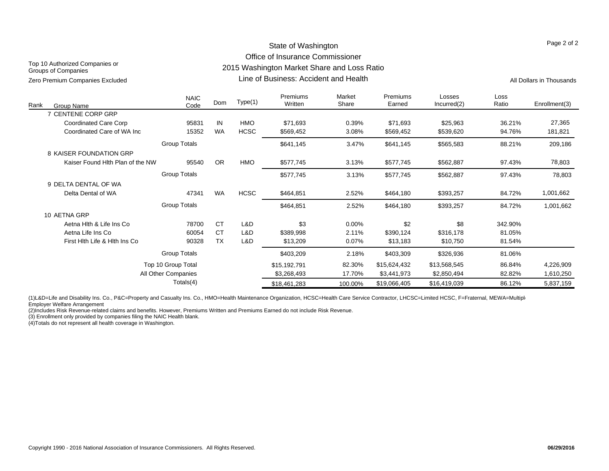### State of Washington Office of Insurance Commissioner 2015 Washington Market Share and Loss Ratio

Top 10 Authorized Companies or Groups of Companies Zero Premium Companies Excluded **All Dollars in Thousands** Circle All Dollars in Thousands Companies Excluded All Dollars in Thousands

Line of Business: Accident and Health

Page 2 of 2

| Rank<br>Group Name               | <b>NAIC</b><br>Code | Dom       | Type(1)     | Premiums<br>Written | Market<br>Share | <b>Premiums</b><br>Earned | Losses<br>Incurred(2) | Loss<br>Ratio | Enrollment(3) |
|----------------------------------|---------------------|-----------|-------------|---------------------|-----------------|---------------------------|-----------------------|---------------|---------------|
| 7 CENTENE CORP GRP               |                     |           |             |                     |                 |                           |                       |               |               |
| <b>Coordinated Care Corp</b>     | 95831               | IN        | <b>HMO</b>  | \$71,693            | 0.39%           | \$71,693                  | \$25,963              | 36.21%        | 27,365        |
| Coordinated Care of WA Inc       | 15352               | <b>WA</b> | <b>HCSC</b> | \$569,452           | 3.08%           | \$569,452                 | \$539,620             | 94.76%        | 181,821       |
|                                  | <b>Group Totals</b> |           |             | \$641,145           | 3.47%           | \$641,145                 | \$565,583             | 88.21%        | 209,186       |
| 8 KAISER FOUNDATION GRP          |                     |           |             |                     |                 |                           |                       |               |               |
| Kaiser Found Hith Plan of the NW | 95540               | <b>OR</b> | HMO         | \$577,745           | 3.13%           | \$577,745                 | \$562,887             | 97.43%        | 78,803        |
|                                  | <b>Group Totals</b> |           |             | \$577,745           | 3.13%           | \$577,745                 | \$562,887             | 97.43%        | 78,803        |
| 9 DELTA DENTAL OF WA             |                     |           |             |                     |                 |                           |                       |               |               |
| Delta Dental of WA               | 47341               | <b>WA</b> | <b>HCSC</b> | \$464,851           | 2.52%           | \$464,180                 | \$393,257             | 84.72%        | 1,001,662     |
|                                  | <b>Group Totals</b> |           |             | \$464,851           | 2.52%           | \$464,180                 | \$393,257             | 84.72%        | 1,001,662     |
| 10 AETNA GRP                     |                     |           |             |                     |                 |                           |                       |               |               |
| Aetna Hith & Life Ins Co         | 78700               | <b>CT</b> | L&D         | \$3                 | 0.00%           | \$2                       | \$8                   | 342.90%       |               |
| Aetna Life Ins Co                | 60054               | <b>CT</b> | L&D         | \$389,998           | 2.11%           | \$390,124                 | \$316,178             | 81.05%        |               |
| First Hith Life & Hith Ins Co    | 90328               | <b>TX</b> | L&D         | \$13,209            | 0.07%           | \$13,183                  | \$10,750              | 81.54%        |               |
|                                  | <b>Group Totals</b> |           |             | \$403,209           | 2.18%           | \$403,309                 | \$326,936             | 81.06%        |               |
|                                  | Top 10 Group Total  |           |             | \$15,192,791        | 82.30%          | \$15,624,432              | \$13,568,545          | 86.84%        | 4,226,909     |
|                                  | All Other Companies |           |             | \$3,268,493         | 17.70%          | \$3,441,973               | \$2,850,494           | 82.82%        | 1,610,250     |
|                                  | Totals(4)           |           |             | \$18,461,283        | 100.00%         | \$19,066,405              | \$16,419,039          | 86.12%        | 5,837,159     |

(1)L&D=Life and Disability Ins. Co., P&C=Property and Casualty Ins. Co., HMO=Health Maintenance Organization, HCSC=Health Care Service Contractor, LHCSC=Limited HCSC, F=Fraternal, MEWA=Multiple Employer Welfare Arrangement

(2)Includes Risk Revenue-related claims and benefits. However, Premiums Written and Premiums Earned do not include Risk Revenue.

(3) Enrollment only provided by companies filing the NAIC Health blank.

(4)Totals do not represent all health coverage in Washington.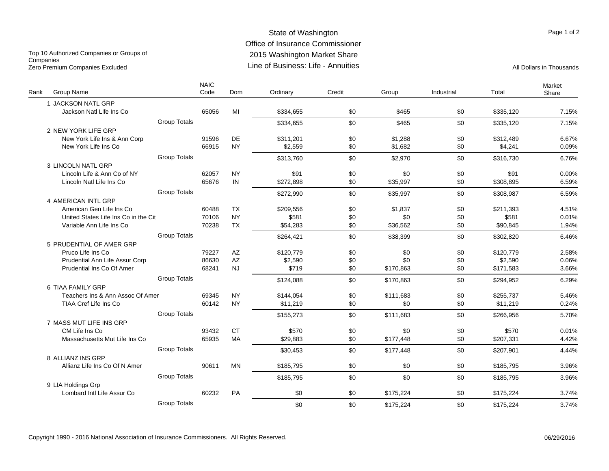#### State of Washington Office of Insurance Commissioner 2015 Washington Market Share Line of Business: Life - AnnuitiesZero Premium Companies Excluded **All Dollars in Thousands** Line of Business: Life - Annuities All Dollars in Thousands

Top 10 Authorized Companies or Groups of **Companies** 

| Rank | Group Name                           |                     | <b>NAIC</b><br>Code | Dom                    | Ordinary  | Credit | Group     | Industrial | Total     | Market<br>Share |
|------|--------------------------------------|---------------------|---------------------|------------------------|-----------|--------|-----------|------------|-----------|-----------------|
|      | 1 JACKSON NATL GRP                   |                     |                     |                        |           |        |           |            |           |                 |
|      | Jackson Natl Life Ins Co             |                     | 65056               | MI                     | \$334,655 | \$0    | \$465     | \$0        | \$335,120 | 7.15%           |
|      |                                      | <b>Group Totals</b> |                     |                        | \$334.655 | \$0    | \$465     | \$0        | \$335,120 | 7.15%           |
|      | 2 NEW YORK LIFE GRP                  |                     |                     |                        |           |        |           |            |           |                 |
|      | New York Life Ins & Ann Corp         |                     | 91596               | DE                     | \$311.201 | \$0    | \$1,288   | \$0        | \$312.489 | 6.67%           |
|      | New York Life Ins Co                 |                     | 66915               | <b>NY</b>              | \$2.559   | \$0    | \$1,682   | \$0        | \$4,241   | 0.09%           |
|      |                                      | <b>Group Totals</b> |                     |                        | \$313.760 | \$0    | \$2.970   | \$0        | \$316.730 | 6.76%           |
|      | 3 LINCOLN NATL GRP                   |                     |                     |                        |           |        |           |            |           |                 |
|      | Lincoln Life & Ann Co of NY          |                     | 62057               | <b>NY</b>              | \$91      | \$0    | \$0       | \$0        | \$91      | 0.00%           |
|      | Lincoln Natl Life Ins Co             |                     | 65676               | IN                     | \$272,898 | \$0    | \$35,997  | \$0        | \$308,895 | 6.59%           |
|      |                                      | <b>Group Totals</b> |                     |                        | \$272.990 | \$0    | \$35.997  | \$0        | \$308.987 | 6.59%           |
|      | 4 AMERICAN INTL GRP                  |                     |                     |                        |           |        |           |            |           |                 |
|      | American Gen Life Ins Co             |                     | 60488               | <b>TX</b>              | \$209.556 | \$0    | \$1,837   | \$0        | \$211,393 | 4.51%           |
|      | United States Life Ins Co in the Cit |                     | 70106               | <b>NY</b>              | \$581     | \$0    | \$0       | \$0        | \$581     | 0.01%           |
|      | Variable Ann Life Ins Co             |                     | 70238               | <b>TX</b>              | \$54.283  | \$0    | \$36.562  | \$0        | \$90,845  | 1.94%           |
|      |                                      | <b>Group Totals</b> |                     |                        | \$264,421 | \$0    | \$38,399  | \$0        | \$302.820 | 6.46%           |
|      | 5 PRUDENTIAL OF AMER GRP             |                     |                     |                        |           |        |           |            |           |                 |
|      | Pruco Life Ins Co                    |                     | 79227               | AZ                     | \$120,779 | \$0    | \$0       | \$0        | \$120,779 | 2.58%           |
|      | Prudential Ann Life Assur Corp       |                     | 86630               | $\mathsf{A}\mathsf{Z}$ | \$2,590   | \$0    | \$0       | \$0        | \$2,590   | 0.06%           |
|      | Prudential Ins Co Of Amer            |                     | 68241               | <b>NJ</b>              | \$719     | \$0    | \$170.863 | \$0        | \$171,583 | 3.66%           |
|      |                                      | <b>Group Totals</b> |                     |                        | \$124,088 | \$0    | \$170,863 | \$0        | \$294,952 | 6.29%           |
|      | 6 TIAA FAMILY GRP                    |                     |                     |                        |           |        |           |            |           |                 |
|      | Teachers Ins & Ann Assoc Of Amer     |                     | 69345               | <b>NY</b>              | \$144,054 | \$0    | \$111,683 | \$0        | \$255,737 | 5.46%           |
|      | <b>TIAA Cref Life Ins Co</b>         |                     | 60142               | <b>NY</b>              | \$11.219  | \$0    | \$0       | \$0        | \$11,219  | 0.24%           |
|      |                                      | <b>Group Totals</b> |                     |                        | \$155,273 | \$0    | \$111,683 | \$0        | \$266,956 | 5.70%           |
|      | 7 MASS MUT LIFE INS GRP              |                     |                     |                        |           |        |           |            |           |                 |
|      | CM Life Ins Co                       |                     | 93432               | <b>CT</b>              | \$570     | \$0    | \$0       | \$0        | \$570     | 0.01%           |
|      | Massachusetts Mut Life Ins Co        |                     | 65935               | <b>MA</b>              | \$29,883  | \$0    | \$177,448 | \$0        | \$207,331 | 4.42%           |
|      |                                      | <b>Group Totals</b> |                     |                        | \$30,453  | \$0    | \$177,448 | \$0        | \$207,901 | 4.44%           |
|      | 8 ALLIANZ INS GRP                    |                     |                     |                        |           |        |           |            |           |                 |
|      | Allianz Life Ins Co Of N Amer        |                     | 90611               | <b>MN</b>              | \$185.795 | \$0    | \$0       | \$0        | \$185,795 | 3.96%           |
|      |                                      | <b>Group Totals</b> |                     |                        | \$185,795 | \$0    | \$0       | \$0        | \$185.795 | 3.96%           |
|      | 9 LIA Holdings Grp                   |                     |                     |                        |           |        |           |            |           |                 |
|      | Lombard Intl Life Assur Co           |                     | 60232               | PA                     | \$0       | \$0    | \$175,224 | \$0        | \$175,224 | 3.74%           |
|      |                                      | <b>Group Totals</b> |                     |                        | \$0       | \$0    | \$175,224 | \$0        | \$175,224 | 3.74%           |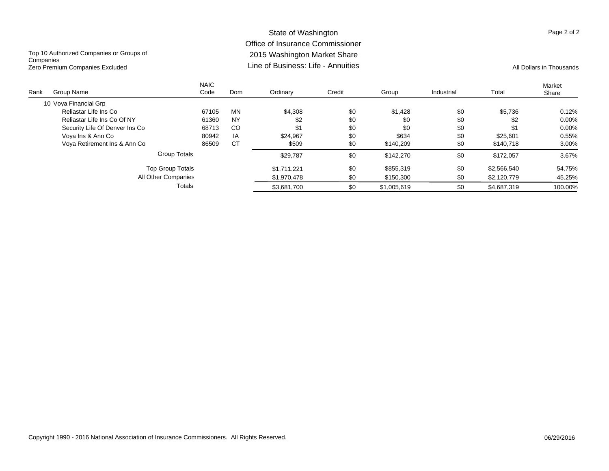## State of Washington Office of Insurance Commissioner 2015 Washington Market Share Line of Business: Life - Annuities

Top 10 Authorized Companies or Groups of **Companies** Zero Premium Companies Excluded **All Dollars in Thousands** Line of Business: Life - Annuities All Dollars in Thousands

| Rank | Group Name                     | <b>NAIC</b><br>Code | Dom       | Ordinary    | Credit | Group       | Industrial | Total       | Market<br>Share |
|------|--------------------------------|---------------------|-----------|-------------|--------|-------------|------------|-------------|-----------------|
|      | 10 Vova Financial Grp          |                     |           |             |        |             |            |             |                 |
|      | Reliastar Life Ins Co          | 67105               | MN        | \$4,308     | \$0    | \$1,428     | \$0        | \$5,736     | 0.12%           |
|      | Reliastar Life Ins Co Of NY    | 61360               | <b>NY</b> | \$2         | \$0    | \$0         | \$0        | \$2         | $0.00\%$        |
|      | Security Life Of Denver Ins Co | 68713               | CO        | \$1         | \$0    | \$0         | \$0        | \$1         | $0.00\%$        |
|      | Vova Ins & Ann Co              | 80942               | IA        | \$24.967    | \$0    | \$634       | \$0        | \$25.601    | 0.55%           |
|      | Vova Retirement Ins & Ann Co   | 86509               | <b>CT</b> | \$509       | \$0    | \$140.209   | \$0        | \$140.718   | 3.00%           |
|      | Group Totals                   |                     |           | \$29.787    | \$0    | \$142,270   | \$0        | \$172.057   | 3.67%           |
|      | <b>Top Group Totals</b>        |                     |           | \$1.711.221 | \$0    | \$855.319   | \$0        | \$2,566,540 | 54.75%          |
|      | All Other Companies            |                     |           | \$1.970.478 | \$0    | \$150,300   | \$0        | \$2,120,779 | 45.25%          |
|      |                                | Totals              |           | \$3,681,700 | \$0    | \$1,005,619 | \$0        | \$4,687,319 | 100.00%         |

#### Copyright 1990 - 2016 National Association of Insurance Commissioners. All Rights Reserved. 06/29/2016

Page 2 of 2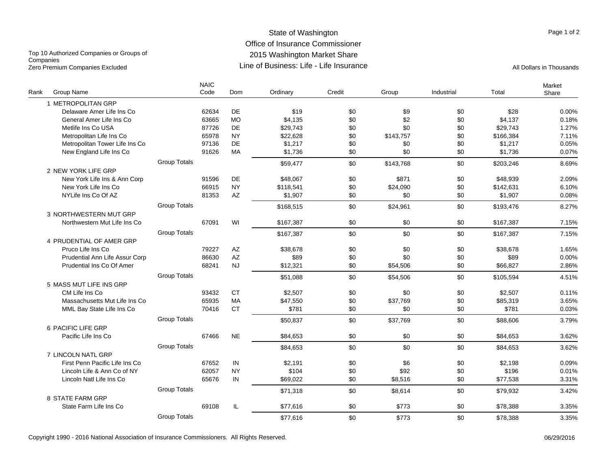#### State of Washington Office of Insurance Commissioner 2015 Washington Market Share Line of Business: Life - Life InsuranceZero Premium Companies Excluded **All Dollars in Thousands** Line of Business: Life - Life Insurance

Top 10 Authorized Companies or Groups of **Companies** 

| Rank | Group Name                     |                     | <b>NAIC</b><br>Code | Dom       | Ordinary  | Credit | Group     | Industrial | Total     | Market<br>Share |
|------|--------------------------------|---------------------|---------------------|-----------|-----------|--------|-----------|------------|-----------|-----------------|
|      | 1 METROPOLITAN GRP             |                     |                     |           |           |        |           |            |           |                 |
|      | Delaware Amer Life Ins Co      |                     | 62634               | DE        | \$19      | \$0    | \$9       | \$0        | \$28      | 0.00%           |
|      | General Amer Life Ins Co       |                     | 63665               | <b>MO</b> | \$4.135   | \$0    | \$2       | \$0        | \$4,137   | 0.18%           |
|      | Metlife Ins Co USA             |                     | 87726               | DE        | \$29,743  | \$0    | \$0       | \$0        | \$29,743  | 1.27%           |
|      | Metropolitan Life Ins Co       |                     | 65978               | <b>NY</b> | \$22,628  | \$0    | \$143,757 | \$0        | \$166,384 | 7.11%           |
|      | Metropolitan Tower Life Ins Co |                     | 97136               | DE        | \$1,217   | \$0    | \$0       | \$0        | \$1,217   | 0.05%           |
|      | New England Life Ins Co        |                     | 91626               | MA        | \$1,736   | \$0    | \$0       | \$0        | \$1,736   | 0.07%           |
|      |                                | <b>Group Totals</b> |                     |           | \$59,477  | \$0    | \$143,768 | \$0        | \$203,246 | 8.69%           |
|      | 2 NEW YORK LIFE GRP            |                     |                     |           |           |        |           |            |           |                 |
|      | New York Life Ins & Ann Corp   |                     | 91596               | DE        | \$48,067  | \$0    | \$871     | \$0        | \$48,939  | 2.09%           |
|      | New York Life Ins Co           |                     | 66915               | <b>NY</b> | \$118,541 | \$0    | \$24,090  | \$0        | \$142,631 | 6.10%           |
|      | NYLife Ins Co Of AZ            |                     | 81353               | AZ        | \$1,907   | \$0    | \$0       | \$0        | \$1,907   | 0.08%           |
|      |                                | <b>Group Totals</b> |                     |           | \$168,515 | \$0    | \$24,961  | \$0        | \$193,476 | 8.27%           |
|      | 3 NORTHWESTERN MUT GRP         |                     |                     |           |           |        |           |            |           |                 |
|      | Northwestern Mut Life Ins Co   |                     | 67091               | WI        | \$167.387 | \$0    | \$0       | \$0        | \$167.387 | 7.15%           |
|      |                                | <b>Group Totals</b> |                     |           | \$167,387 | \$0    | \$0       | \$0        | \$167,387 | 7.15%           |
|      | 4 PRUDENTIAL OF AMER GRP       |                     |                     |           |           |        |           |            |           |                 |
|      | Pruco Life Ins Co              |                     | 79227               | AZ        | \$38,678  | \$0    | \$0       | \$0        | \$38,678  | 1.65%           |
|      | Prudential Ann Life Assur Corp |                     | 86630               | AZ        | \$89      | \$0    | \$0       | \$0        | \$89      | 0.00%           |
|      | Prudential Ins Co Of Amer      |                     | 68241               | <b>NJ</b> | \$12,321  | \$0    | \$54,506  | \$0        | \$66,827  | 2.86%           |
|      |                                | <b>Group Totals</b> |                     |           | \$51,088  | \$0    | \$54,506  | \$0        | \$105,594 | 4.51%           |
|      | 5 MASS MUT LIFE INS GRP        |                     |                     |           |           |        |           |            |           |                 |
|      | CM Life Ins Co                 |                     | 93432               | <b>CT</b> | \$2.507   | \$0    | \$0       | \$0        | \$2,507   | 0.11%           |
|      | Massachusetts Mut Life Ins Co  |                     | 65935               | <b>MA</b> | \$47,550  | \$0    | \$37,769  | \$0        | \$85,319  | 3.65%           |
|      | MML Bay State Life Ins Co      |                     | 70416               | <b>CT</b> | \$781     | \$0    | \$0       | \$0        | \$781     | 0.03%           |
|      |                                | <b>Group Totals</b> |                     |           | \$50,837  | \$0    | \$37,769  | \$0        | \$88,606  | 3.79%           |
|      | 6 PACIFIC LIFE GRP             |                     |                     |           |           |        |           |            |           |                 |
|      | Pacific Life Ins Co            |                     | 67466               | <b>NE</b> | \$84,653  | \$0    | \$0       | \$0        | \$84,653  | 3.62%           |
|      |                                | <b>Group Totals</b> |                     |           | \$84,653  | \$0    | \$0       | \$0        | \$84,653  | 3.62%           |
|      | 7 LINCOLN NATL GRP             |                     |                     |           |           |        |           |            |           |                 |
|      | First Penn Pacific Life Ins Co |                     | 67652               | IN        | \$2,191   | \$0    | \$6       | \$0        | \$2,198   | 0.09%           |
|      | Lincoln Life & Ann Co of NY    |                     | 62057               | <b>NY</b> | \$104     | \$0    | \$92      | \$0        | \$196     | 0.01%           |
|      | Lincoln Natl Life Ins Co       |                     | 65676               | $\sf IN$  | \$69,022  | \$0    | \$8,516   | \$0        | \$77,538  | 3.31%           |
|      |                                | <b>Group Totals</b> |                     |           | \$71,318  | \$0    | \$8,614   | \$0        | \$79,932  | 3.42%           |
|      | 8 STATE FARM GRP               |                     |                     |           |           |        |           |            |           |                 |
|      | State Farm Life Ins Co         |                     | 69108               | IL        | \$77,616  | \$0    | \$773     | \$0        | \$78,388  | 3.35%           |
|      |                                | <b>Group Totals</b> |                     |           | \$77,616  | \$0    | \$773     | \$0        | \$78,388  | 3.35%           |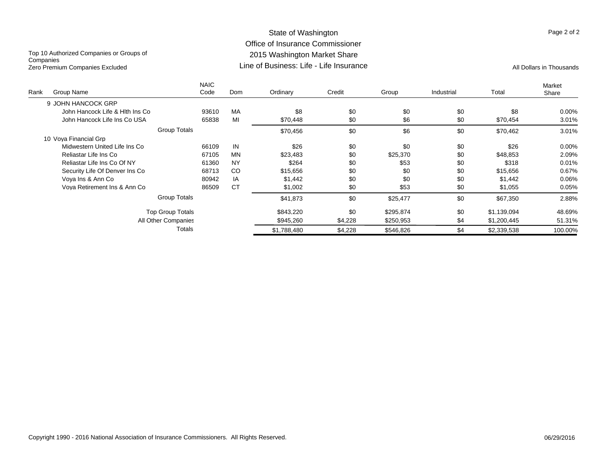#### State of Washington Office of Insurance Commissioner 2015 Washington Market Share Line of Business: Life - Life InsuranceZero Premium Companies Excluded **All Dollars in Thousands** Line of Business: Life - Life Insurance

Top 10 Authorized Companies or Groups of **Companies** 

| Rank | Group Name                      | <b>NAIC</b><br>Code | Dom           | Ordinary    | Credit  | Group     | Industrial | Total       | Market<br>Share |
|------|---------------------------------|---------------------|---------------|-------------|---------|-----------|------------|-------------|-----------------|
|      |                                 |                     |               |             |         |           |            |             |                 |
|      | 9 JOHN HANCOCK GRP              |                     |               |             |         |           |            |             |                 |
|      | John Hancock Life & Hith Ins Co | 93610               | MA            | \$8         | \$0     | \$0       | \$0        | \$8         | 0.00%           |
|      | John Hancock Life Ins Co USA    | 65838               | MI            | \$70,448    | \$0     | \$6       | \$0        | \$70,454    | 3.01%           |
|      |                                 | Group Totals        |               | \$70,456    | \$0     | \$6       | \$0        | \$70,462    | 3.01%           |
|      | 10 Vova Financial Grp           |                     |               |             |         |           |            |             |                 |
|      | Midwestern United Life Ins Co   | 66109               | IN            | \$26        | \$0     | \$0       | \$0        | \$26        | 0.00%           |
|      | Reliastar Life Ins Co           | 67105               | <b>MN</b>     | \$23.483    | \$0     | \$25,370  | \$0        | \$48,853    | 2.09%           |
|      | Reliastar Life Ins Co Of NY     | 61360               | <b>NY</b>     | \$264       | \$0     | \$53      | \$0        | \$318       | 0.01%           |
|      | Security Life Of Denver Ins Co  | 68713               | <sub>CO</sub> | \$15,656    | \$0     | \$0       | \$0        | \$15,656    | 0.67%           |
|      | Vova Ins & Ann Co               | 80942               | IA            | \$1,442     | \$0     | \$0       | \$0        | \$1,442     | 0.06%           |
|      | Voya Retirement Ins & Ann Co    | 86509               | <b>CT</b>     | \$1,002     | \$0     | \$53      | \$0        | \$1,055     | 0.05%           |
|      |                                 | <b>Group Totals</b> |               | \$41,873    | \$0     | \$25,477  | \$0        | \$67,350    | 2.88%           |
|      | <b>Top Group Totals</b>         |                     |               | \$843.220   | \$0     | \$295,874 | \$0        | \$1.139.094 | 48.69%          |
|      | All Other Companies             |                     |               | \$945,260   | \$4,228 | \$250,953 | \$4        | \$1,200,445 | 51.31%          |
|      |                                 | Totals              |               | \$1.788.480 | \$4,228 | \$546.826 | \$4        | \$2,339,538 | 100.00%         |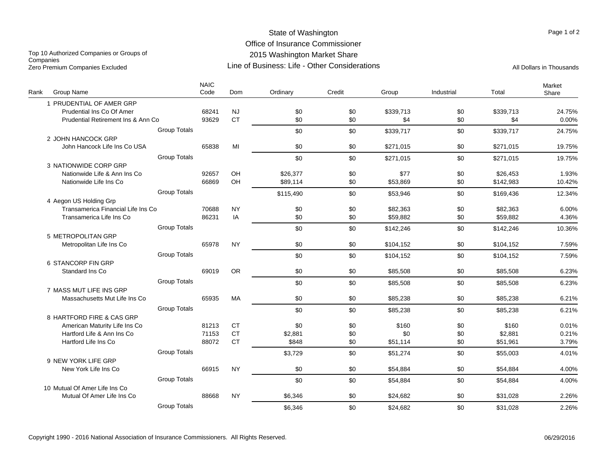### State of Washington Office of Insurance Commissioner 2015 Washington Market Share Line of Business: Life - Other Considerations

Top 10 Authorized Companies or Groups of **Companies** Zero Premium Companies Excluded Companies Excluded Companies Companies Companies Companies All Dollars in Thousands

| Rank<br>Group Name                 | <b>NAIC</b><br>Code | Dom       | Ordinary  | Credit | Group     | Industrial | Total     | Market<br>Share |
|------------------------------------|---------------------|-----------|-----------|--------|-----------|------------|-----------|-----------------|
| 1 PRUDENTIAL OF AMER GRP           |                     |           |           |        |           |            |           |                 |
| Prudential Ins Co Of Amer          | 68241               | <b>NJ</b> | \$0       | \$0    | \$339,713 | \$0        | \$339,713 | 24.75%          |
| Prudential Retirement Ins & Ann Co | 93629               | <b>CT</b> | \$0       | \$0    | \$4       | \$0        | \$4       | 0.00%           |
| <b>Group Totals</b>                |                     |           | \$0       | \$0    | \$339,717 | \$0        | \$339,717 | 24.75%          |
| 2 JOHN HANCOCK GRP                 |                     |           |           |        |           |            |           |                 |
| John Hancock Life Ins Co USA       | 65838               | MI        | \$0       | \$0    | \$271,015 | \$0        | \$271,015 | 19.75%          |
| <b>Group Totals</b>                |                     |           | \$0       | \$0    | \$271,015 | \$0        | \$271,015 | 19.75%          |
| 3 NATIONWIDE CORP GRP              |                     |           |           |        |           |            |           |                 |
| Nationwide Life & Ann Ins Co       | 92657               | OH        | \$26,377  | \$0    | \$77      | \$0        | \$26,453  | 1.93%           |
| Nationwide Life Ins Co             | 66869               | OH        | \$89,114  | \$0    | \$53,869  | \$0        | \$142,983 | 10.42%          |
| <b>Group Totals</b>                |                     |           | \$115,490 | \$0    | \$53,946  | \$0        | \$169,436 | 12.34%          |
| 4 Aegon US Holding Grp             |                     |           |           |        |           |            |           |                 |
| Transamerica Financial Life Ins Co | 70688               | <b>NY</b> | \$0       | \$0    | \$82,363  | \$0        | \$82,363  | 6.00%           |
| Transamerica Life Ins Co           | 86231               | IA        | \$0       | \$0    | \$59,882  | \$0        | \$59,882  | 4.36%           |
| <b>Group Totals</b>                |                     |           | \$0       | \$0    | \$142,246 | \$0        | \$142,246 | 10.36%          |
| 5 METROPOLITAN GRP                 |                     |           |           |        |           |            |           |                 |
| Metropolitan Life Ins Co           | 65978               | <b>NY</b> | \$0       | \$0    | \$104,152 | \$0        | \$104,152 | 7.59%           |
| <b>Group Totals</b>                |                     |           | \$0       | \$0    | \$104,152 | \$0        | \$104,152 | 7.59%           |
| 6 STANCORP FIN GRP                 |                     |           |           |        |           |            |           |                 |
| Standard Ins Co                    | 69019               | <b>OR</b> | \$0       | \$0    | \$85,508  | \$0        | \$85,508  | 6.23%           |
| <b>Group Totals</b>                |                     |           | \$0       | \$0    | \$85,508  | \$0        | \$85,508  | 6.23%           |
| 7 MASS MUT LIFE INS GRP            |                     |           |           |        |           |            |           |                 |
| Massachusetts Mut Life Ins Co      | 65935               | MA        | \$0       | \$0    | \$85,238  | \$0        | \$85,238  | 6.21%           |
| <b>Group Totals</b>                |                     |           | \$0       | \$0    | \$85,238  | \$0        | \$85,238  | 6.21%           |
| 8 HARTFORD FIRE & CAS GRP          |                     |           |           |        |           |            |           |                 |
| American Maturity Life Ins Co      | 81213               | <b>CT</b> | \$0       | \$0    | \$160     | \$0        | \$160     | 0.01%           |
| Hartford Life & Ann Ins Co         | 71153               | <b>CT</b> | \$2,881   | \$0    | \$0       | \$0        | \$2,881   | 0.21%           |
| Hartford Life Ins Co               | 88072               | <b>CT</b> | \$848     | \$0    | \$51,114  | \$0        | \$51,961  | 3.79%           |
| <b>Group Totals</b>                |                     |           | \$3,729   | \$0    | \$51,274  | \$0        | \$55,003  | 4.01%           |
| 9 NEW YORK LIFE GRP                |                     |           |           |        |           |            |           |                 |
| New York Life Ins Co               | 66915               | <b>NY</b> | \$0       | \$0    | \$54,884  | \$0        | \$54,884  | 4.00%           |
| <b>Group Totals</b>                |                     |           | \$0       | \$0    | \$54,884  | \$0        | \$54,884  | 4.00%           |
| 10 Mutual Of Amer Life Ins Co      |                     |           |           |        |           |            |           |                 |
| Mutual Of Amer Life Ins Co         | 88668               | <b>NY</b> | \$6,346   | \$0    | \$24,682  | \$0        | \$31,028  | 2.26%           |
| <b>Group Totals</b>                |                     |           | \$6,346   | \$0    | \$24,682  | \$0        | \$31,028  | 2.26%           |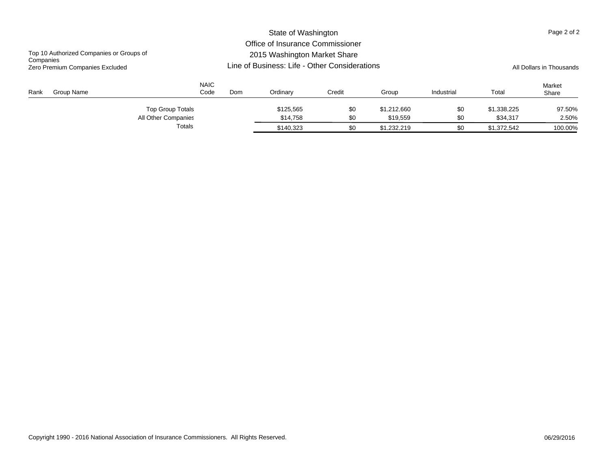|                                                       |                     |                                               | State of Washington              |        |             |            |             | Page 2 of 2     |
|-------------------------------------------------------|---------------------|-----------------------------------------------|----------------------------------|--------|-------------|------------|-------------|-----------------|
|                                                       |                     |                                               | Office of Insurance Commissioner |        |             |            |             |                 |
| Top 10 Authorized Companies or Groups of<br>Companies |                     |                                               | 2015 Washington Market Share     |        |             |            |             |                 |
| Zero Premium Companies Excluded                       |                     | Line of Business: Life - Other Considerations | All Dollars in Thousands         |        |             |            |             |                 |
| Group Name<br>Rank                                    | <b>NAIC</b><br>Code | Dom                                           | Ordinary                         | Credit | Group       | Industrial | Total       | Market<br>Share |
| Top Group Totals                                      |                     |                                               | \$125.565                        | \$0    | \$1,212,660 | \$0        | \$1.338.225 | 97.50%          |
| All Other Companies                                   |                     |                                               | \$14,758                         | \$0    | \$19,559    | \$0        | \$34.317    | 2.50%           |
| Totals                                                |                     |                                               | \$140.323                        | \$0    | \$1.232.219 | \$0        | \$1,372,542 | 100.00%         |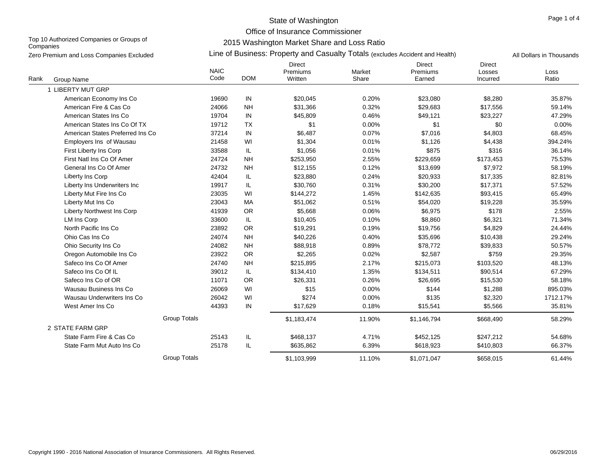Office of Insurance Commissioner

Top 10 Authorized Companies or Groups of **Companies** 

2015 Washington Market Share and Loss Ratio

|      | Zero Premium and Loss Companies Excluded |                     |            | Line of Business: Property and Casualty Totals (excludes Accident and Health) |                 |                              |                                     | All Dollars in Thousands |
|------|------------------------------------------|---------------------|------------|-------------------------------------------------------------------------------|-----------------|------------------------------|-------------------------------------|--------------------------|
| Rank | Group Name                               | <b>NAIC</b><br>Code | <b>DOM</b> | <b>Direct</b><br>Premiums<br>Written                                          | Market<br>Share | Direct<br>Premiums<br>Earned | <b>Direct</b><br>Losses<br>Incurred | Loss<br>Ratio            |
|      | 1 LIBERTY MUT GRP                        |                     |            |                                                                               |                 |                              |                                     |                          |
|      | American Economy Ins Co                  | 19690               | IN         | \$20,045                                                                      | 0.20%           | \$23,080                     | \$8,280                             | 35.87%                   |
|      | American Fire & Cas Co                   | 24066               | <b>NH</b>  | \$31,366                                                                      | 0.32%           | \$29,683                     | \$17,556                            | 59.14%                   |
|      | American States Ins Co                   | 19704               | IN         | \$45,809                                                                      | 0.46%           | \$49,121                     | \$23,227                            | 47.29%                   |
|      | American States Ins Co Of TX             | 19712               | <b>TX</b>  | \$1                                                                           | 0.00%           | \$1                          | \$0                                 | 0.00%                    |
|      | American States Preferred Ins Co         | 37214               | IN         | \$6,487                                                                       | 0.07%           | \$7,016                      | \$4,803                             | 68.45%                   |
|      | Employers Ins of Wausau                  | 21458               | WI         | \$1,304                                                                       | 0.01%           | \$1,126                      | \$4,438                             | 394.24%                  |
|      | First Liberty Ins Corp                   | 33588               | IL         | \$1,056                                                                       | 0.01%           | \$875                        | \$316                               | 36.14%                   |
|      | First Natl Ins Co Of Amer                | 24724               | <b>NH</b>  | \$253,950                                                                     | 2.55%           | \$229,659                    | \$173,453                           | 75.53%                   |
|      | General Ins Co Of Amer                   | 24732               | <b>NH</b>  | \$12,155                                                                      | 0.12%           | \$13,699                     | \$7,972                             | 58.19%                   |
|      | Liberty Ins Corp                         | 42404               | IL         | \$23,880                                                                      | 0.24%           | \$20,933                     | \$17,335                            | 82.81%                   |
|      | Liberty Ins Underwriters Inc             | 19917               | IL         | \$30,760                                                                      | 0.31%           | \$30,200                     | \$17,371                            | 57.52%                   |
|      | Liberty Mut Fire Ins Co                  | 23035               | WI         | \$144,272                                                                     | 1.45%           | \$142,635                    | \$93,415                            | 65.49%                   |
|      | Liberty Mut Ins Co                       | 23043               | MA         | \$51,062                                                                      | 0.51%           | \$54,020                     | \$19,228                            | 35.59%                   |
|      | Liberty Northwest Ins Corp               | 41939               | <b>OR</b>  | \$5,668                                                                       | 0.06%           | \$6,975                      | \$178                               | 2.55%                    |
|      | LM Ins Corp                              | 33600               | IL         | \$10,405                                                                      | 0.10%           | \$8,860                      | \$6,321                             | 71.34%                   |
|      | North Pacific Ins Co                     | 23892               | <b>OR</b>  | \$19,291                                                                      | 0.19%           | \$19,756                     | \$4,829                             | 24.44%                   |
|      | Ohio Cas Ins Co                          | 24074               | <b>NH</b>  | \$40,226                                                                      | 0.40%           | \$35,696                     | \$10,438                            | 29.24%                   |
|      | Ohio Security Ins Co                     | 24082               | <b>NH</b>  | \$88,918                                                                      | 0.89%           | \$78,772                     | \$39,833                            | 50.57%                   |
|      | Oregon Automobile Ins Co                 | 23922               | <b>OR</b>  | \$2,265                                                                       | 0.02%           | \$2,587                      | \$759                               | 29.35%                   |
|      | Safeco Ins Co Of Amer                    | 24740               | <b>NH</b>  | \$215,895                                                                     | 2.17%           | \$215,073                    | \$103,520                           | 48.13%                   |
|      | Safeco Ins Co Of IL                      | 39012               | IL.        | \$134,410                                                                     | 1.35%           | \$134,511                    | \$90,514                            | 67.29%                   |
|      | Safeco Ins Co of OR                      | 11071               | OR         | \$26,331                                                                      | 0.26%           | \$26,695                     | \$15,530                            | 58.18%                   |
|      | Wausau Business Ins Co                   | 26069               | WI         | \$15                                                                          | 0.00%           | \$144                        | \$1,288                             | 895.03%                  |
|      | Wausau Underwriters Ins Co               | 26042               | WI         | \$274                                                                         | 0.00%           | \$135                        | \$2,320                             | 1712.17%                 |
|      | West Amer Ins Co                         | 44393               | IN         | \$17,629                                                                      | 0.18%           | \$15,541                     | \$5,566                             | 35.81%                   |
|      |                                          | <b>Group Totals</b> |            | \$1,183,474                                                                   | 11.90%          | \$1,146,794                  | \$668,490                           | 58.29%                   |
|      | 2 STATE FARM GRP                         |                     |            |                                                                               |                 |                              |                                     |                          |
|      | State Farm Fire & Cas Co                 | 25143               | IL         | \$468,137                                                                     | 4.71%           | \$452,125                    | \$247,212                           | 54.68%                   |
|      | State Farm Mut Auto Ins Co               | 25178               | IL         | \$635,862                                                                     | 6.39%           | \$618,923                    | \$410,803                           | 66.37%                   |
|      |                                          | <b>Group Totals</b> |            | \$1,103,999                                                                   | 11.10%          | \$1,071,047                  | \$658,015                           | 61.44%                   |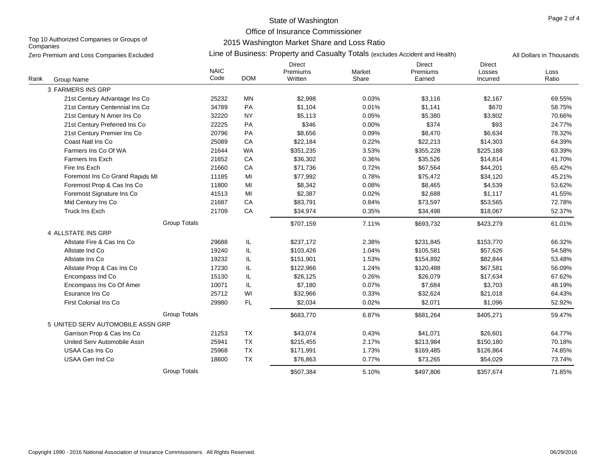Office of Insurance Commissioner

Top 10 Authorized Companies or Groups of **Companies** 

2015 Washington Market Share and Loss Ratio

| Zero Premium and Loss Companies Excluded |                     | Line of Business: Property and Casualty Totals (excludes Accident and Health) |                                      |                 |                                     |                                     |               |  |  |  |
|------------------------------------------|---------------------|-------------------------------------------------------------------------------|--------------------------------------|-----------------|-------------------------------------|-------------------------------------|---------------|--|--|--|
| Rank<br>Group Name                       | <b>NAIC</b><br>Code | <b>DOM</b>                                                                    | <b>Direct</b><br>Premiums<br>Written | Market<br>Share | <b>Direct</b><br>Premiums<br>Earned | <b>Direct</b><br>Losses<br>Incurred | Loss<br>Ratio |  |  |  |
| 3 FARMERS INS GRP                        |                     |                                                                               |                                      |                 |                                     |                                     |               |  |  |  |
| 21st Century Advantage Ins Co            | 25232               | MN                                                                            | \$2,998                              | 0.03%           | \$3,116                             | \$2,167                             | 69.55%        |  |  |  |
| 21st Century Centennial Ins Co           | 34789               | PA                                                                            | \$1,104                              | 0.01%           | \$1,141                             | \$670                               | 58.75%        |  |  |  |
| 21st Century N Amer Ins Co               | 32220               | <b>NY</b>                                                                     | \$5,113                              | 0.05%           | \$5,380                             | \$3,802                             | 70.66%        |  |  |  |
| 21st Century Preferred Ins Co            | 22225               | PA                                                                            | \$346                                | 0.00%           | \$374                               | \$93                                | 24.77%        |  |  |  |
| 21st Century Premier Ins Co              | 20796               | PA                                                                            | \$8,656                              | 0.09%           | \$8,470                             | \$6,634                             | 78.32%        |  |  |  |
| Coast Natl Ins Co                        | 25089               | CA                                                                            | \$22,184                             | 0.22%           | \$22,213                            | \$14,303                            | 64.39%        |  |  |  |
| Farmers Ins Co Of WA                     | 21644               | <b>WA</b>                                                                     | \$351,235                            | 3.53%           | \$355,228                           | \$225,188                           | 63.39%        |  |  |  |
| Farmers Ins Exch                         | 21652               | CA                                                                            | \$36,302                             | 0.36%           | \$35,526                            | \$14,814                            | 41.70%        |  |  |  |
| Fire Ins Exch                            | 21660               | CA                                                                            | \$71,736                             | 0.72%           | \$67,564                            | \$44,201                            | 65.42%        |  |  |  |
| Foremost Ins Co Grand Rapids MI          | 11185               | MI                                                                            | \$77,992                             | 0.78%           | \$75,472                            | \$34,120                            | 45.21%        |  |  |  |
| Foremost Prop & Cas Ins Co               | 11800               | MI                                                                            | \$8,342                              | 0.08%           | \$8,465                             | \$4,539                             | 53.62%        |  |  |  |
| Foremost Signature Ins Co                | 41513               | MI                                                                            | \$2,387                              | 0.02%           | \$2,688                             | \$1,117                             | 41.55%        |  |  |  |
| Mid Century Ins Co                       | 21687               | CA                                                                            | \$83,791                             | 0.84%           | \$73,597                            | \$53,565                            | 72.78%        |  |  |  |
| Truck Ins Exch                           | 21709               | CA                                                                            | \$34,974                             | 0.35%           | \$34,498                            | \$18,067                            | 52.37%        |  |  |  |
|                                          | <b>Group Totals</b> |                                                                               | \$707,159                            | 7.11%           | \$693,732                           | \$423,279                           | 61.01%        |  |  |  |
| 4 ALLSTATE INS GRP                       |                     |                                                                               |                                      |                 |                                     |                                     |               |  |  |  |
| Allstate Fire & Cas Ins Co               | 29688               | IL                                                                            | \$237,172                            | 2.38%           | \$231,845                           | \$153,770                           | 66.32%        |  |  |  |
| Allstate Ind Co                          | 19240               | IL                                                                            | \$103,426                            | 1.04%           | \$105,581                           | \$57,626                            | 54.58%        |  |  |  |
| Allstate Ins Co                          | 19232               | IL                                                                            | \$151,901                            | 1.53%           | \$154,892                           | \$82,844                            | 53.48%        |  |  |  |
| Allstate Prop & Cas Ins Co               | 17230               | IL                                                                            | \$122,966                            | 1.24%           | \$120,488                           | \$67,581                            | 56.09%        |  |  |  |
| Encompass Ind Co                         | 15130               | IL                                                                            | \$26,125                             | 0.26%           | \$26,079                            | \$17,634                            | 67.62%        |  |  |  |
| Encompass Ins Co Of Amer                 | 10071               | IL                                                                            | \$7,180                              | 0.07%           | \$7,684                             | \$3,703                             | 48.19%        |  |  |  |
| Esurance Ins Co                          | 25712               | WI                                                                            | \$32,966                             | 0.33%           | \$32,624                            | \$21,018                            | 64.43%        |  |  |  |
| First Colonial Ins Co                    | 29980               | FL                                                                            | \$2,034                              | 0.02%           | \$2,071                             | \$1,096                             | 52.92%        |  |  |  |
|                                          | <b>Group Totals</b> |                                                                               | \$683,770                            | 6.87%           | \$681,264                           | \$405,271                           | 59.47%        |  |  |  |
| 5 UNITED SERV AUTOMOBILE ASSN GRP        |                     |                                                                               |                                      |                 |                                     |                                     |               |  |  |  |
| Garrison Prop & Cas Ins Co               | 21253               | <b>TX</b>                                                                     | \$43,074                             | 0.43%           | \$41,071                            | \$26,601                            | 64.77%        |  |  |  |
| United Serv Automobile Assn              | 25941               | <b>TX</b>                                                                     | \$215,455                            | 2.17%           | \$213,984                           | \$150,180                           | 70.18%        |  |  |  |
| USAA Cas Ins Co                          | 25968               | <b>TX</b>                                                                     | \$171,991                            | 1.73%           | \$169,485                           | \$126,864                           | 74.85%        |  |  |  |
| USAA Gen Ind Co                          | 18600               | <b>TX</b>                                                                     | \$76,863                             | 0.77%           | \$73,265                            | \$54,029                            | 73.74%        |  |  |  |
|                                          | <b>Group Totals</b> |                                                                               | \$507,384                            | 5.10%           | \$497,806                           | \$357,674                           | 71.85%        |  |  |  |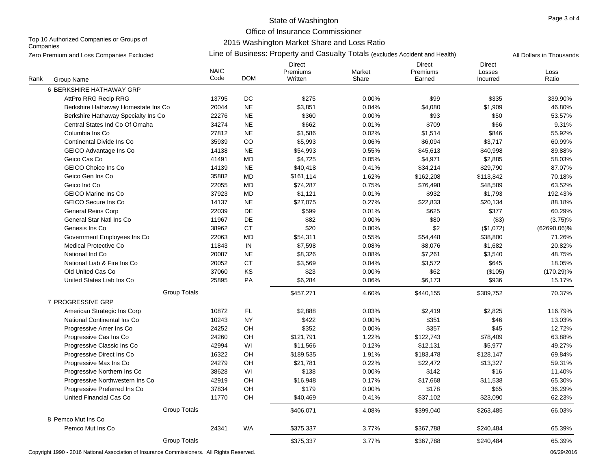Office of Insurance Commissioner

Top 10 Authorized Companies or Groups of **Companies** 

2015 Washington Market Share and Loss Ratio

|      | Zero Premium and Loss Companies Excluded |                     | Line of Business: Property and Casualty Totals (excludes Accident and Health) |                                      |                 |                                     |                                     |               |  |  |  |
|------|------------------------------------------|---------------------|-------------------------------------------------------------------------------|--------------------------------------|-----------------|-------------------------------------|-------------------------------------|---------------|--|--|--|
| Rank | Group Name                               | <b>NAIC</b><br>Code | <b>DOM</b>                                                                    | <b>Direct</b><br>Premiums<br>Written | Market<br>Share | <b>Direct</b><br>Premiums<br>Earned | <b>Direct</b><br>Losses<br>Incurred | Loss<br>Ratio |  |  |  |
|      | 6 BERKSHIRE HATHAWAY GRP                 |                     |                                                                               |                                      |                 |                                     |                                     |               |  |  |  |
|      | AttPro RRG Recip RRG                     | 13795               | DC                                                                            | \$275                                | 0.00%           | \$99                                | \$335                               | 339.90%       |  |  |  |
|      | Berkshire Hathaway Homestate Ins Co      | 20044               | <b>NE</b>                                                                     | \$3,851                              | 0.04%           | \$4,080                             | \$1,909                             | 46.80%        |  |  |  |
|      | Berkshire Hathaway Specialty Ins Co      | 22276               | <b>NE</b>                                                                     | \$360                                | 0.00%           | \$93                                | \$50                                | 53.57%        |  |  |  |
|      | Central States Ind Co Of Omaha           | 34274               | <b>NE</b>                                                                     | \$662                                | 0.01%           | \$709                               | \$66                                | 9.31%         |  |  |  |
|      | Columbia Ins Co                          | 27812               | <b>NE</b>                                                                     | \$1,586                              | 0.02%           | \$1,514                             | \$846                               | 55.92%        |  |  |  |
|      | Continental Divide Ins Co                | 35939               | CO                                                                            | \$5,993                              | 0.06%           | \$6,094                             | \$3,717                             | 60.99%        |  |  |  |
|      | GEICO Advantage Ins Co                   | 14138               | <b>NE</b>                                                                     | \$54,993                             | 0.55%           | \$45,613                            | \$40,998                            | 89.88%        |  |  |  |
|      | Geico Cas Co                             | 41491               | MD                                                                            | \$4,725                              | 0.05%           | \$4,971                             | \$2,885                             | 58.03%        |  |  |  |
|      | <b>GEICO Choice Ins Co</b>               | 14139               | $\sf NE$                                                                      | \$40,418                             | 0.41%           | \$34,214                            | \$29,790                            | 87.07%        |  |  |  |
|      | Geico Gen Ins Co                         | 35882               | <b>MD</b>                                                                     | \$161,114                            | 1.62%           | \$162,208                           | \$113,842                           | 70.18%        |  |  |  |
|      | Geico Ind Co                             | 22055               | <b>MD</b>                                                                     | \$74,287                             | 0.75%           | \$76,498                            | \$48,589                            | 63.52%        |  |  |  |
|      | <b>GEICO Marine Ins Co</b>               | 37923               | <b>MD</b>                                                                     | \$1,121                              | 0.01%           | \$932                               | \$1,793                             | 192.43%       |  |  |  |
|      | <b>GEICO Secure Ins Co</b>               | 14137               | $\sf NE$                                                                      | \$27,075                             | 0.27%           | \$22,833                            | \$20,134                            | 88.18%        |  |  |  |
|      | <b>General Reins Corp</b>                | 22039               | DE                                                                            | \$599                                | 0.01%           | \$625                               | \$377                               | 60.29%        |  |  |  |
|      | General Star Natl Ins Co                 | 11967               | DE                                                                            | \$82                                 | 0.00%           | \$80                                | ( \$3)                              | $(3.75)\%$    |  |  |  |
|      | Genesis Ins Co                           | 38962               | <b>CT</b>                                                                     | \$20                                 | 0.00%           | \$2                                 | (\$1,072)                           | (62690.06)%   |  |  |  |
|      | Government Employees Ins Co              | 22063               | <b>MD</b>                                                                     | \$54,311                             | 0.55%           | \$54,448                            | \$38,800                            | 71.26%        |  |  |  |
|      | <b>Medical Protective Co</b>             | 11843               | ${\sf IN}$                                                                    | \$7,598                              | 0.08%           | \$8,076                             | \$1,682                             | 20.82%        |  |  |  |
|      | National Ind Co                          | 20087               | <b>NE</b>                                                                     | \$8,326                              | 0.08%           | \$7,261                             | \$3,540                             | 48.75%        |  |  |  |
|      | National Liab & Fire Ins Co              | 20052               | <b>CT</b>                                                                     | \$3,569                              | 0.04%           | \$3,572                             | \$645                               | 18.05%        |  |  |  |
|      | Old United Cas Co                        | 37060               | KS                                                                            | \$23                                 | 0.00%           | \$62                                | (\$105)                             | $(170.29)\%$  |  |  |  |
|      | United States Liab Ins Co                | 25895               | PA                                                                            | \$6,284                              | 0.06%           | \$6,173                             | \$936                               | 15.17%        |  |  |  |
|      | <b>Group Totals</b>                      |                     |                                                                               | \$457,271                            | 4.60%           | \$440,155                           | \$309,752                           | 70.37%        |  |  |  |
|      | 7 PROGRESSIVE GRP                        |                     |                                                                               |                                      |                 |                                     |                                     |               |  |  |  |
|      | American Strategic Ins Corp              | 10872               | FL                                                                            | \$2,888                              | 0.03%           | \$2,419                             | \$2,825                             | 116.79%       |  |  |  |
|      | National Continental Ins Co              | 10243               | <b>NY</b>                                                                     | \$422                                | 0.00%           | \$351                               | \$46                                | 13.03%        |  |  |  |
|      | Progressive Amer Ins Co                  | 24252               | OH                                                                            | \$352                                | 0.00%           | \$357                               | \$45                                | 12.72%        |  |  |  |
|      | Progressive Cas Ins Co                   | 24260               | OH                                                                            | \$121,791                            | 1.22%           | \$122,743                           | \$78,409                            | 63.88%        |  |  |  |
|      | Progressive Classic Ins Co               | 42994               | WI                                                                            | \$11,566                             | 0.12%           | \$12,131                            | \$5,977                             | 49.27%        |  |  |  |
|      | Progressive Direct Ins Co                | 16322               | OH                                                                            | \$189,535                            | 1.91%           | \$183,478                           | \$128,147                           | 69.84%        |  |  |  |
|      | Progressive Max Ins Co                   | 24279               | OH                                                                            | \$21,781                             | 0.22%           | \$22,472                            | \$13,327                            | 59.31%        |  |  |  |
|      | Progressive Northern Ins Co              | 38628               | WI                                                                            | \$138                                | 0.00%           | \$142                               | \$16                                | 11.40%        |  |  |  |
|      | Progressive Northwestern Ins Co.         | 42919               | OH                                                                            | \$16,948                             | 0.17%           | \$17,668                            | \$11,538                            | 65.30%        |  |  |  |
|      | Progressive Preferred Ins Co             | 37834               | OH                                                                            | \$179                                | 0.00%           | \$178                               | \$65                                | 36.29%        |  |  |  |
|      | United Financial Cas Co                  | 11770               | OH                                                                            | \$40,469                             | 0.41%           | \$37,102                            | \$23,090                            | 62.23%        |  |  |  |
|      | <b>Group Totals</b>                      |                     |                                                                               | \$406,071                            | 4.08%           | \$399,040                           | \$263,485                           | 66.03%        |  |  |  |
|      | 8 Pemco Mut Ins Co                       |                     |                                                                               |                                      |                 |                                     |                                     |               |  |  |  |
|      | Pemco Mut Ins Co                         | 24341               | WA                                                                            | \$375,337                            | 3.77%           | \$367,788                           | \$240,484                           | 65.39%        |  |  |  |
|      | <b>Group Totals</b>                      |                     |                                                                               | \$375,337                            | 3.77%           | \$367,788                           | \$240.484                           | 65.39%        |  |  |  |

Copyright 1990 - 2016 National Association of Insurance Commissioners. All Rights Reserved. 06/29/2016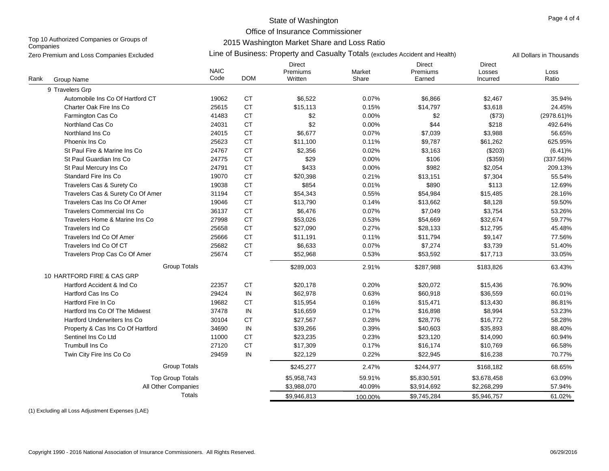Office of Insurance Commissioner

Top 10 Authorized Companies or Groups of **Companies** 

# 2015 Washington Market Share and Loss Ratio

|      | Zero Premium and Loss Companies Excluded |                     |            | Line of Business: Property and Casualty Totals (excludes Accident and Health) |                 | All Dollars in Thousands     |                                     |               |
|------|------------------------------------------|---------------------|------------|-------------------------------------------------------------------------------|-----------------|------------------------------|-------------------------------------|---------------|
| Rank | Group Name                               | <b>NAIC</b><br>Code | <b>DOM</b> | <b>Direct</b><br>Premiums<br>Written                                          | Market<br>Share | Direct<br>Premiums<br>Earned | <b>Direct</b><br>Losses<br>Incurred | Loss<br>Ratio |
|      | 9 Travelers Grp                          |                     |            |                                                                               |                 |                              |                                     |               |
|      | Automobile Ins Co Of Hartford CT         | 19062               | <b>CT</b>  | \$6,522                                                                       | 0.07%           | \$6,866                      | \$2,467                             | 35.94%        |
|      | Charter Oak Fire Ins Co                  | 25615               | <b>CT</b>  | \$15,113                                                                      | 0.15%           | \$14,797                     | \$3,618                             | 24.45%        |
|      | Farmington Cas Co                        | 41483               | <b>CT</b>  | \$2                                                                           | 0.00%           | \$2                          | (\$73)                              | $(2978.61)\%$ |
|      | Northland Cas Co                         | 24031               | <b>CT</b>  | \$2                                                                           | 0.00%           | \$44                         | \$218                               | 492.64%       |
|      | Northland Ins Co                         | 24015               | <b>CT</b>  | \$6,677                                                                       | 0.07%           | \$7,039                      | \$3,988                             | 56.65%        |
|      | Phoenix Ins Co                           | 25623               | <b>CT</b>  | \$11,100                                                                      | 0.11%           | \$9.787                      | \$61,262                            | 625.95%       |
|      | St Paul Fire & Marine Ins Co             | 24767               | <b>CT</b>  | \$2,356                                                                       | 0.02%           | \$3,163                      | (\$203)                             | $(6.41)\%$    |
|      | St Paul Guardian Ins Co                  | 24775               | <b>CT</b>  | \$29                                                                          | 0.00%           | \$106                        | (\$359)                             | $(337.56)\%$  |
|      | St Paul Mercury Ins Co                   | 24791               | <b>CT</b>  | \$433                                                                         | 0.00%           | \$982                        | \$2,054                             | 209.13%       |
|      | Standard Fire Ins Co                     | 19070               | CT         | \$20,398                                                                      | 0.21%           | \$13,151                     | \$7,304                             | 55.54%        |
|      | Travelers Cas & Surety Co                | 19038               | <b>CT</b>  | \$854                                                                         | 0.01%           | \$890                        | \$113                               | 12.69%        |
|      | Travelers Cas & Surety Co Of Amer        | 31194               | <b>CT</b>  | \$54,343                                                                      | 0.55%           | \$54,984                     | \$15,485                            | 28.16%        |
|      | Travelers Cas Ins Co Of Amer             | 19046               | CT         | \$13,790                                                                      | 0.14%           | \$13,662                     | \$8,128                             | 59.50%        |
|      | <b>Travelers Commercial Ins Co</b>       | 36137               | <b>CT</b>  | \$6,476                                                                       | 0.07%           | \$7,049                      | \$3,754                             | 53.26%        |
|      | Travelers Home & Marine Ins Co           | 27998               | <b>CT</b>  | \$53,026                                                                      | 0.53%           | \$54,669                     | \$32,674                            | 59.77%        |
|      | Travelers Ind Co                         | 25658               | <b>CT</b>  | \$27,090                                                                      | 0.27%           | \$28,133                     | \$12,795                            | 45.48%        |
|      | Travelers Ind Co Of Amer                 | 25666               | <b>CT</b>  | \$11,191                                                                      | 0.11%           | \$11,794                     | \$9,147                             | 77.56%        |
|      | Travelers Ind Co Of CT                   | 25682               | <b>CT</b>  | \$6,633                                                                       | 0.07%           | \$7,274                      | \$3,739                             | 51.40%        |
|      | Travelers Prop Cas Co Of Amer            | 25674               | <b>CT</b>  | \$52,968                                                                      | 0.53%           | \$53,592                     | \$17,713                            | 33.05%        |
|      | <b>Group Totals</b>                      |                     |            | \$289,003                                                                     | 2.91%           | \$287,988                    | \$183,826                           | 63.43%        |
|      | 10 HARTFORD FIRE & CAS GRP               |                     |            |                                                                               |                 |                              |                                     |               |
|      | Hartford Accident & Ind Co               | 22357               | <b>CT</b>  | \$20,178                                                                      | 0.20%           | \$20,072                     | \$15,436                            | 76.90%        |
|      | Hartford Cas Ins Co                      | 29424               | $\sf IN$   | \$62,978                                                                      | 0.63%           | \$60,918                     | \$36,559                            | 60.01%        |
|      | Hartford Fire In Co                      | 19682               | <b>CT</b>  | \$15,954                                                                      | 0.16%           | \$15,471                     | \$13,430                            | 86.81%        |
|      | Hartford Ins Co Of The Midwest           | 37478               | IN         | \$16,659                                                                      | 0.17%           | \$16,898                     | \$8,994                             | 53.23%        |
|      | <b>Hartford Underwriters Ins Co</b>      | 30104               | <b>CT</b>  | \$27,567                                                                      | 0.28%           | \$28,776                     | \$16,772                            | 58.28%        |
|      | Property & Cas Ins Co Of Hartford        | 34690               | IN         | \$39,266                                                                      | 0.39%           | \$40,603                     | \$35,893                            | 88.40%        |
|      | Sentinel Ins Co Ltd                      | 11000               | <b>CT</b>  | \$23,235                                                                      | 0.23%           | \$23,120                     | \$14,090                            | 60.94%        |
|      | Trumbull Ins Co                          | 27120               | <b>CT</b>  | \$17,309                                                                      | 0.17%           | \$16,174                     | \$10,769                            | 66.58%        |
|      | Twin City Fire Ins Co Co                 | 29459               | ${\sf IN}$ | \$22,129                                                                      | 0.22%           | \$22,945                     | \$16,238                            | 70.77%        |
|      | <b>Group Totals</b>                      |                     |            | \$245,277                                                                     | 2.47%           | \$244,977                    | \$168,182                           | 68.65%        |
|      | <b>Top Group Totals</b>                  |                     |            | \$5,958,743                                                                   | 59.91%          | \$5,830,591                  | \$3,678,458                         | 63.09%        |
|      | All Other Companies                      |                     |            | \$3,988,070                                                                   | 40.09%          | \$3,914,692                  | \$2,268,299                         | 57.94%        |
|      |                                          | <b>Totals</b>       |            | \$9.946.813                                                                   | 100.00%         | \$9.745.284                  | \$5.946.757                         | 61.02%        |

(1) Excluding all Loss Adjustment Expenses (LAE)